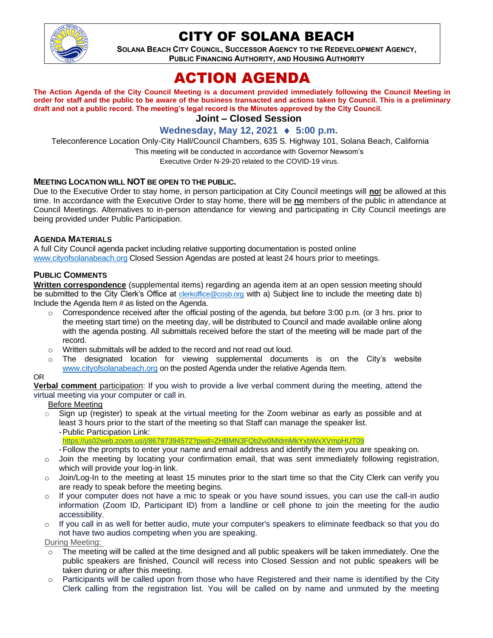

## CITY OF SOLANA BEACH

**SOLANA BEACH CITY COUNCIL, SUCCESSOR AGENCY TO THE REDEVELOPMENT AGENCY, PUBLIC FINANCING AUTHORITY, AND HOUSING AUTHORITY**

# ACTION AGENDA

**The Action Agenda of the City Council Meeting is a document provided immediately following the Council Meeting in order for staff and the public to be aware of the business transacted and actions taken by Council. This is a preliminary draft and not a public record. The meeting's legal record is the Minutes approved by the City Council.**

## **Joint – Closed Session**

### **Wednesday, May 12, 2021 ♦ 5:00 p.m.**

Teleconference Location Only-City Hall/Council Chambers, 635 S. Highway 101, Solana Beach, California

This meeting will be conducted in accordance with Governor Newsom's

Executive Order N-29-20 related to the COVID-19 virus.

#### **MEETING LOCATION WILL NOT BE OPEN TO THE PUBLIC.**

Due to the Executive Order to stay home, in person participation at City Council meetings will **no**t be allowed at this time. In accordance with the Executive Order to stay home, there will be **no** members of the public in attendance at Council Meetings. Alternatives to in-person attendance for viewing and participating in City Council meetings are being provided under Public Participation.

#### **AGENDA MATERIALS**

A full City Council agenda packet including relative supporting documentation is posted online [www.cityofsolanabeach.org](https://urldefense.proofpoint.com/v2/url?u=http-3A__www.cityofsolanabeach.org&d=DwQFAg&c=euGZstcaTDllvimEN8b7jXrwqOf-v5A_CdpgnVfiiMM&r=1XAsCUuqwK_tji2t0s1uIQ&m=wny2RVfZJ2tN24LkqZmkUWNpwL_peNtTZUBlTBZiMM4&s=6ATguqxJUOD7VVtloplAbyuyNaVcEh6Fl4q1iw55lCY&e=) Closed Session Agendas are posted at least 24 hours prior to meetings.

#### **PUBLIC COMMENTS**

**Written correspondence** (supplemental items) regarding an agenda item at an open session meeting should be submitted to the City Clerk's Office at [clerkoffice@cosb.org](mailto:clerkoffice@cosb.org) with a) Subject line to include the meeting date b) Include the Agenda Item # as listed on the Agenda.

- $\circ$  Correspondence received after the official posting of the agenda, but before 3:00 p.m. (or 3 hrs. prior to the meeting start time) on the meeting day, will be distributed to Council and made available online along with the agenda posting. All submittals received before the start of the meeting will be made part of the record.
- o Written submittals will be added to the record and not read out loud.
- $\circ$  The designated location for viewing supplemental documents is on the City's website [www.cityofsolanabeach.org](http://www.cityofsolanabeach.org/) on the posted Agenda under the relative Agenda Item.

#### OR

**Verbal comment** participation: If you wish to provide a live verbal comment during the meeting, attend the virtual meeting via your computer or call in.

Before Meeting

- $\circ$  Sign up (register) to speak at the virtual meeting for the Zoom webinar as early as possible and at least 3 hours prior to the start of the meeting so that Staff can manage the speaker list.
	- -Public Participation Link:
	- [https://us02web.zoom.us/j/86797394572?pwd=ZHBMN3FQb2w0MldmMkYxbWxXVmpHUT09](https://cosb-org.zoom.us/webinar/register/WN_AaM0jLa9QUqHCaDgtQdDtw)
	- -Follow the prompts to enter your name and email address and identify the item you are speaking on.
- $\circ$  Join the meeting by locating your confirmation email, that was sent immediately following registration, which will provide your log-in link.
- o Join/Log-In to the meeting at least 15 minutes prior to the start time so that the City Clerk can verify you are ready to speak before the meeting begins.
- o If your computer does not have a mic to speak or you have sound issues, you can use the call-in audio information (Zoom ID, Participant ID) from a landline or cell phone to join the meeting for the audio accessibility.
- o If you call in as well for better audio, mute your computer's speakers to eliminate feedback so that you do not have two audios competing when you are speaking.
- During Meeting:
- $\circ$  The meeting will be called at the time designed and all public speakers will be taken immediately. One the public speakers are finished, Council will recess into Closed Session and not public speakers will be taken during or after this meeting.
- o Participants will be called upon from those who have Registered and their name is identified by the City Clerk calling from the registration list. You will be called on by name and unmuted by the meeting